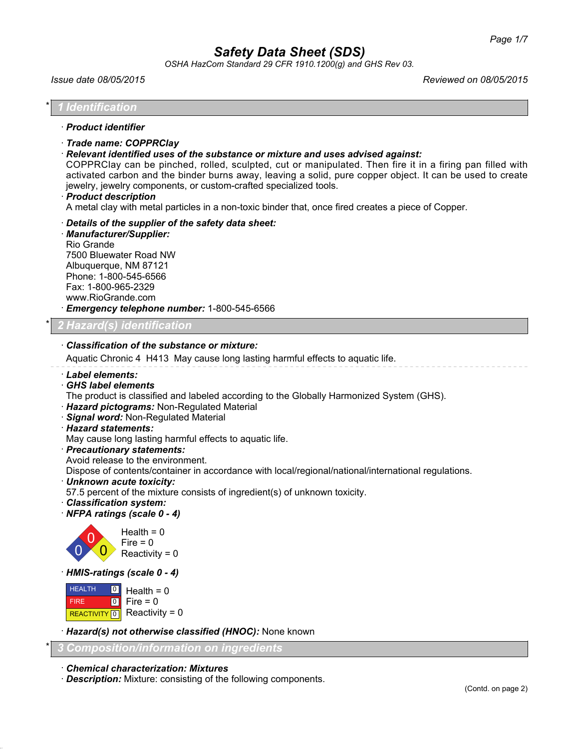*OSHA HazCom Standard 29 CFR 1910.1200(g) and GHS Rev 03.*

| Issue date 08/05/2015                                                                                                                                                                                                                                                                                                                             | Reviewed on 08/05/2015                                                                                                                                                                                                |
|---------------------------------------------------------------------------------------------------------------------------------------------------------------------------------------------------------------------------------------------------------------------------------------------------------------------------------------------------|-----------------------------------------------------------------------------------------------------------------------------------------------------------------------------------------------------------------------|
| Identification                                                                                                                                                                                                                                                                                                                                    |                                                                                                                                                                                                                       |
| · Product identifier                                                                                                                                                                                                                                                                                                                              |                                                                                                                                                                                                                       |
| · Trade name: COPPRClay<br>Relevant identified uses of the substance or mixture and uses advised against:<br>jewelry, jewelry components, or custom-crafted specialized tools.<br>· Product description<br>A metal clay with metal particles in a non-toxic binder that, once fired creates a piece of Copper.                                    | COPPRClay can be pinched, rolled, sculpted, cut or manipulated. Then fire it in a firing pan filled with<br>activated carbon and the binder burns away, leaving a solid, pure copper object. It can be used to create |
| Details of the supplier of the safety data sheet:<br>· Manufacturer/Supplier:<br>Rio Grande<br>7500 Bluewater Road NW<br>Albuquerque, NM 87121<br>Phone: 1-800-545-6566<br>Fax: 1-800-965-2329<br>www.RioGrande.com<br>· Emergency telephone number: 1-800-545-6566                                                                               |                                                                                                                                                                                                                       |
| 2 Hazard(s) identification                                                                                                                                                                                                                                                                                                                        |                                                                                                                                                                                                                       |
| <b>Classification of the substance or mixture:</b><br>Aquatic Chronic 4 H413 May cause long lasting harmful effects to aquatic life.<br>· Label elements:<br>· GHS label elements                                                                                                                                                                 |                                                                                                                                                                                                                       |
| The product is classified and labeled according to the Globally Harmonized System (GHS).<br>· Hazard pictograms: Non-Regulated Material<br>Signal word: Non-Regulated Material<br>· Hazard statements:<br>May cause long lasting harmful effects to aquatic life.                                                                                 |                                                                                                                                                                                                                       |
| · Precautionary statements:<br>Avoid release to the environment.<br>Dispose of contents/container in accordance with local/regional/national/international regulations.<br>· Unknown acute toxicity:<br>57.5 percent of the mixture consists of ingredient(s) of unknown toxicity.<br><b>Classification system:</b><br>NFPA ratings (scale 0 - 4) |                                                                                                                                                                                                                       |
| Health = $0$<br>$Fire = 0$<br>Reactivity = $0$                                                                                                                                                                                                                                                                                                    |                                                                                                                                                                                                                       |
| HMIS-ratings (scale 0 - 4)                                                                                                                                                                                                                                                                                                                        |                                                                                                                                                                                                                       |
| <b>HEALTH</b><br>$\lceil 0 \rceil$<br>Health = $0$<br>$\boxed{0}$<br>Fire $= 0$<br><b>FIRE</b><br>Reactivity = $0$<br>REACTIVITY 0                                                                                                                                                                                                                |                                                                                                                                                                                                                       |
| Hazard(s) not otherwise classified (HNOC): None known                                                                                                                                                                                                                                                                                             |                                                                                                                                                                                                                       |
| <u> Composition/information on ingredients</u>                                                                                                                                                                                                                                                                                                    |                                                                                                                                                                                                                       |

· *Chemical characterization: Mixtures*

· *Description:* Mixture: consisting of the following components.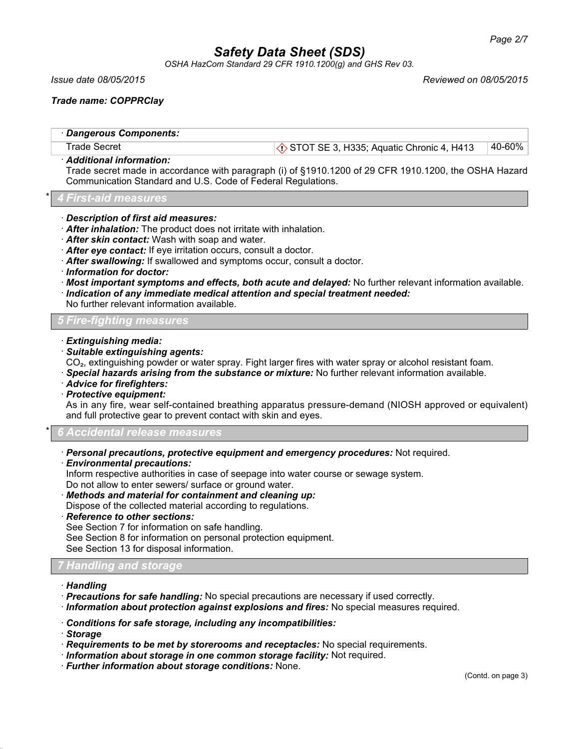*OSHA HazCom Standard 29 CFR 1910.1200(g) and GHS Rev 03.*

*Issue date 08/05/2015 Reviewed on 08/05/2015*

*Trade name: COPPRClay*

| · Dangerous Components: |                                                                  |        |
|-------------------------|------------------------------------------------------------------|--------|
| Trade Secret            | $\langle \cdot \rangle$ STOT SE 3, H335; Aquatic Chronic 4, H413 | 40-60% |
| Additional information: |                                                                  |        |

Trade secret made in accordance with paragraph (i) of §1910.1200 of 29 CFR 1910.1200, the OSHA Hazard Communication Standard and U.S. Code of Federal Regulations.

\* *4 First-aid measures*

- · *Description of first aid measures:*
- · *After inhalation:* The product does not irritate with inhalation.
- · *After skin contact:* Wash with soap and water.
- · *After eye contact:* If eye irritation occurs, consult a doctor.
- · *After swallowing:* If swallowed and symptoms occur, consult a doctor.
- · *Information for doctor:*
- · *Most important symptoms and effects, both acute and delayed:* No further relevant information available.
- · *Indication of any immediate medical attention and special treatment needed:*

No further relevant information available.

*5 Fire-fighting measures*

- · *Extinguishing media:*
- · *Suitable extinguishing agents:*

CO₂, extinguishing powder or water spray. Fight larger fires with water spray or alcohol resistant foam.

- · *Special hazards arising from the substance or mixture:* No further relevant information available.
- · *Advice for firefighters:*
- · *Protective equipment:*

As in any fire, wear self-contained breathing apparatus pressure-demand (NIOSH approved or equivalent) and full protective gear to prevent contact with skin and eyes.

\* *6 Accidental release measures*

- · *Personal precautions, protective equipment and emergency procedures:* Not required.
- · *Environmental precautions:*

Inform respective authorities in case of seepage into water course or sewage system.

- Do not allow to enter sewers/ surface or ground water.
- · *Methods and material for containment and cleaning up:*

Dispose of the collected material according to regulations.

· *Reference to other sections:*

See Section 7 for information on safe handling.

See Section 8 for information on personal protection equipment.

See Section 13 for disposal information.

### *7 Handling and storage*

- · *Handling*
- · *Precautions for safe handling:* No special precautions are necessary if used correctly.

· *Information about protection against explosions and fires:* No special measures required.

· *Conditions for safe storage, including any incompatibilities:*

· *Storage*

- · *Requirements to be met by storerooms and receptacles:* No special requirements.
- · *Information about storage in one common storage facility:* Not required.
- · *Further information about storage conditions:* None.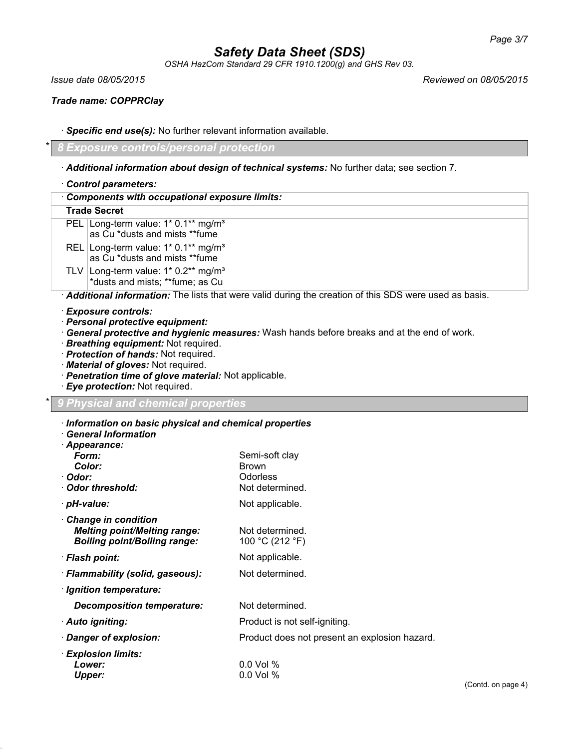*OSHA HazCom Standard 29 CFR 1910.1200(g) and GHS Rev 03.*

*Issue date 08/05/2015 Reviewed on 08/05/2015*

*Trade name: COPPRClay*

· *Specific end use(s):* No further relevant information available.

\* *8 Exposure controls/personal protection*

· *Additional information about design of technical systems:* No further data; see section 7.

· *Control parameters:*

· *Components with occupational exposure limits:*

## **Trade Secret**

PEL Long-term value: 1\* 0.1\*\* mg/m<sup>3</sup> as Cu \*dusts and mists \*\*fume REL Long-term value: 1\* 0.1\*\* mg/m<sup>3</sup> as Cu \*dusts and mists \*\*fume TLV Long-term value:  $1*0.2**$  mg/m<sup>3</sup>

\*dusts and mists; \*\*fume; as Cu

· *Additional information:* The lists that were valid during the creation of this SDS were used as basis.

- · *Exposure controls:*
- · *Personal protective equipment:*
- · *General protective and hygienic measures:* Wash hands before breaks and at the end of work.
- · *Breathing equipment:* Not required.
- · *Protection of hands:* Not required.
- · *Material of gloves:* Not required.
- · *Penetration time of glove material:* Not applicable.
- · *Eye protection:* Not required.

### \* *9 Physical and chemical properties*

| Information on basic physical and chemical properties<br><b>General Information</b>                      |                                                                      |        |
|----------------------------------------------------------------------------------------------------------|----------------------------------------------------------------------|--------|
| · Appearance:<br>Form:<br>Color:<br>· Odor:<br>Odor threshold:                                           | Semi-soft clay<br><b>Brown</b><br><b>Odorless</b><br>Not determined. |        |
| · pH-value:                                                                                              | Not applicable.                                                      |        |
| <b>Change in condition</b><br><b>Melting point/Melting range:</b><br><b>Boiling point/Boiling range:</b> | Not determined.<br>100 °C (212 °F)                                   |        |
| · Flash point:                                                                                           | Not applicable.                                                      |        |
| · Flammability (solid, gaseous):                                                                         | Not determined.                                                      |        |
| · Ignition temperature:                                                                                  |                                                                      |        |
| <b>Decomposition temperature:</b>                                                                        | Not determined.                                                      |        |
| · Auto igniting:                                                                                         | Product is not self-igniting.                                        |        |
| · Danger of explosion:                                                                                   | Product does not present an explosion hazard.                        |        |
| · Explosion limits:<br>Lower:<br><b>Upper:</b>                                                           | $0.0$ Vol %<br>$0.0$ Vol $%$                                         | (Contd |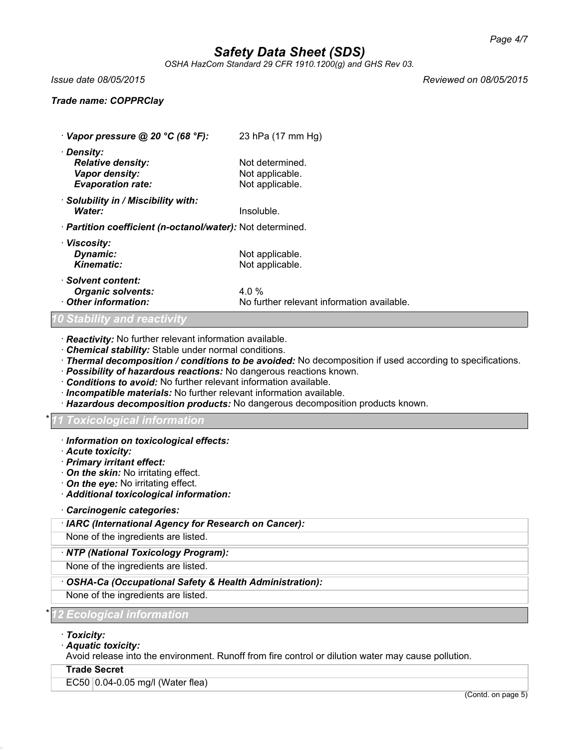*OSHA HazCom Standard 29 CFR 1910.1200(g) and GHS Rev 03.*

*Issue date 08/05/2015 Reviewed on 08/05/2015*

### *Trade name: COPPRClay*

· *Vapor pressure @ 20 °C (68 °F):* 23 hPa (17 mm Hg) · *Density: Relative density:* Not determined. **Vapor density:** Not applicable.<br> **Evaporation rate:** Not applicable. *Evaporation rate:* · *Solubility in / Miscibility with:* **Water:** Insoluble. · *Partition coefficient (n-octanol/water):* Not determined. · *Viscosity:* **Dynamic:** Not applicable. **Kinematic:** Not applicable. · *Solvent content: Organic solvents:* 4.0 % **Other information:** No further relevant information available.

### *Stability and reactiv*

· *Reactivity:* No further relevant information available.

- · *Chemical stability:* Stable under normal conditions.
- · *Thermal decomposition / conditions to be avoided:* No decomposition if used according to specifications.
- · *Possibility of hazardous reactions:* No dangerous reactions known.
- · *Conditions to avoid:* No further relevant information available.
- · *Incompatible materials:* No further relevant information available.
- · *Hazardous decomposition products:* No dangerous decomposition products known.

### \* *11 Toxicological information*

- · *Information on toxicological effects:*
- · *Acute toxicity:*
- · *Primary irritant effect:*
- · *On the skin:* No irritating effect.
- · *On the eye:* No irritating effect.
- · *Additional toxicological information:*
- · *Carcinogenic categories:*
- · *IARC (International Agency for Research on Cancer):*

None of the ingredients are listed.

### · *NTP (National Toxicology Program):*

None of the ingredients are listed.

· *OSHA-Ca (Occupational Safety & Health Administration):*

None of the ingredients are listed.

\* *12 Ecological information*

- · *Toxicity:*
- · *Aquatic toxicity:*

Avoid release into the environment. Runoff from fire control or dilution water may cause pollution.

### **Trade Secret**

EC50 0.04-0.05 mg/l (Water flea)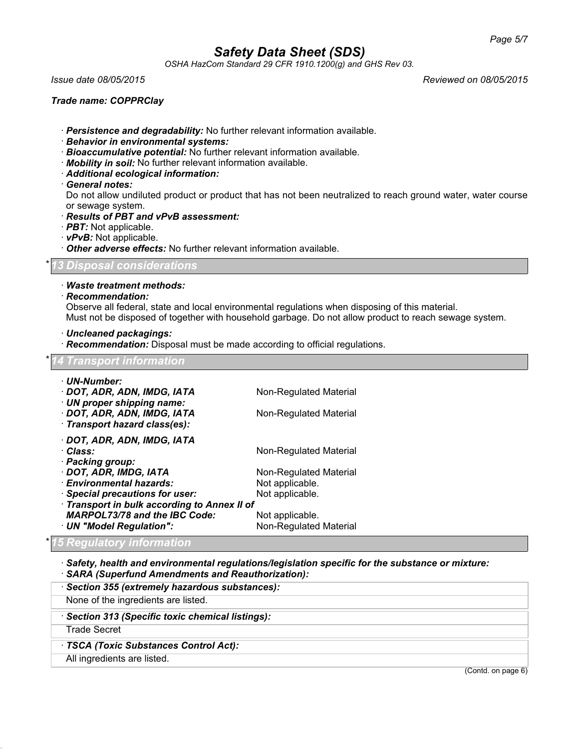*OSHA HazCom Standard 29 CFR 1910.1200(g) and GHS Rev 03.*

*Issue date 08/05/2015 Reviewed on 08/05/2015*

### *Trade name: COPPRClay*

· *Persistence and degradability:* No further relevant information available.

- · *Behavior in environmental systems:*
- · *Bioaccumulative potential:* No further relevant information available.
- · *Mobility in soil:* No further relevant information available.
- · *Additional ecological information:*
- · *General notes:*

Do not allow undiluted product or product that has not been neutralized to reach ground water, water course or sewage system.

- · *Results of PBT and vPvB assessment:*
- · *PBT:* Not applicable.
- · *vPvB:* Not applicable.
- · *Other adverse effects:* No further relevant information available.

### \* *13 Disposal considerations*

- · *Waste treatment methods:*
- · *Recommendation:*

Observe all federal, state and local environmental regulations when disposing of this material. Must not be disposed of together with household garbage. Do not allow product to reach sewage system.

· *Uncleaned packagings:*

· *Recommendation:* Disposal must be made according to official regulations.

## \* *14 Transport information* · *UN-Number:* · **DOT, ADR, ADN, IMDG, IATA** Non-Regulated Material · *UN proper shipping name:* · **DOT, ADR, ADN, IMDG, IATA** Non-Regulated Material · *Transport hazard class(es):* · *DOT, ADR, ADN, IMDG, IATA* · *Class:* Non-Regulated Material · *Packing group:* · **DOT, ADR, IMDG, IATA** Non-Regulated Material<br>· **Environmental hazards:** Not applicable. **Environmental hazards:** Not applicable.<br> **Special precautions for user:** Not applicable. · Special precautions for user: · *Transport in bulk according to Annex II of MARPOL73/78 and the IBC Code:* Not applicable. · **UN "Model Regulation":** Non-Regulated Material

### \* *15 Regulatory information*

· *Safety, health and environmental regulations/legislation specific for the substance or mixture:* · *SARA (Superfund Amendments and Reauthorization):*

· *Section 355 (extremely hazardous substances):*

None of the ingredients are listed.

· *Section 313 (Specific toxic chemical listings):*

Trade Secret

· *TSCA (Toxic Substances Control Act):*

All ingredients are listed.

(Contd. on page 6)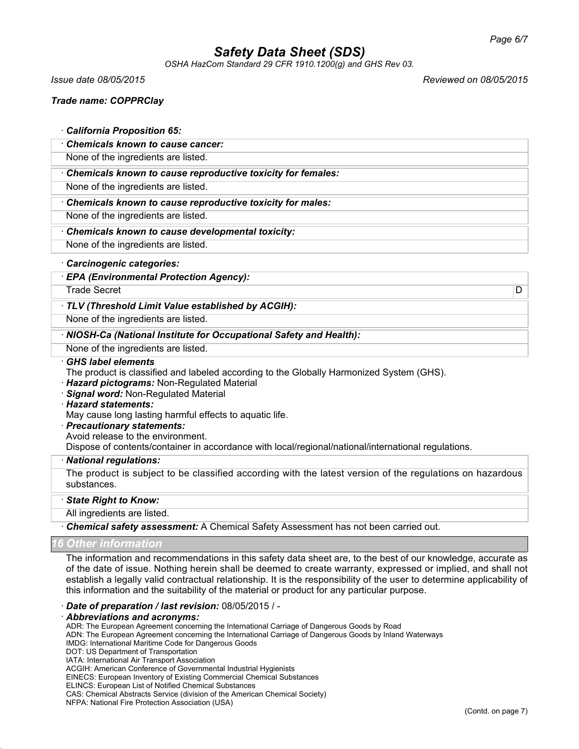*OSHA HazCom Standard 29 CFR 1910.1200(g) and GHS Rev 03.*

*Issue date 08/05/2015 Reviewed on 08/05/2015*

## *Trade name: COPPRClay*

## · *California Proposition 65:*

· *Chemicals known to cause cancer:*

None of the ingredients are listed.

· *Chemicals known to cause reproductive toxicity for females:*

None of the ingredients are listed.

### · *Chemicals known to cause reproductive toxicity for males:*

None of the ingredients are listed.

· *Chemicals known to cause developmental toxicity:*

None of the ingredients are listed.

### · *Carcinogenic categories:*

· *EPA (Environmental Protection Agency):*

Trade Secret D

### · *TLV (Threshold Limit Value established by ACGIH):*

None of the ingredients are listed.

### · *NIOSH-Ca (National Institute for Occupational Safety and Health):*

None of the ingredients are listed.

### · *GHS label elements*

- The product is classified and labeled according to the Globally Harmonized System (GHS).
- · *Hazard pictograms:* Non-Regulated Material
- · *Signal word:* Non-Regulated Material
- · *Hazard statements:*

May cause long lasting harmful effects to aquatic life.

- · *Precautionary statements:*
- Avoid release to the environment.

Dispose of contents/container in accordance with local/regional/national/international regulations.

#### · *National regulations:*

The product is subject to be classified according with the latest version of the regulations on hazardous substances.

### · *State Right to Know:*

### All ingredients are listed.

· *Chemical safety assessment:* A Chemical Safety Assessment has not been carried out.

### *Other inform*

The information and recommendations in this safety data sheet are, to the best of our knowledge, accurate as of the date of issue. Nothing herein shall be deemed to create warranty, expressed or implied, and shall not establish a legally valid contractual relationship. It is the responsibility of the user to determine applicability of this information and the suitability of the material or product for any particular purpose.

#### · *Date of preparation / last revision:* 08/05/2015 / -

#### · *Abbreviations and acronyms:*

ADR: The European Agreement concerning the International Carriage of Dangerous Goods by Road

ADN: The European Agreement concerning the International Carriage of Dangerous Goods by Inland Waterways

- IMDG: International Maritime Code for Dangerous Goods
- DOT: US Department of Transportation IATA: International Air Transport Association

ACGIH: American Conference of Governmental Industrial Hygienists

EINECS: European Inventory of Existing Commercial Chemical Substances

ELINCS: European List of Notified Chemical Substances

CAS: Chemical Abstracts Service (division of the American Chemical Society)

NFPA: National Fire Protection Association (USA)